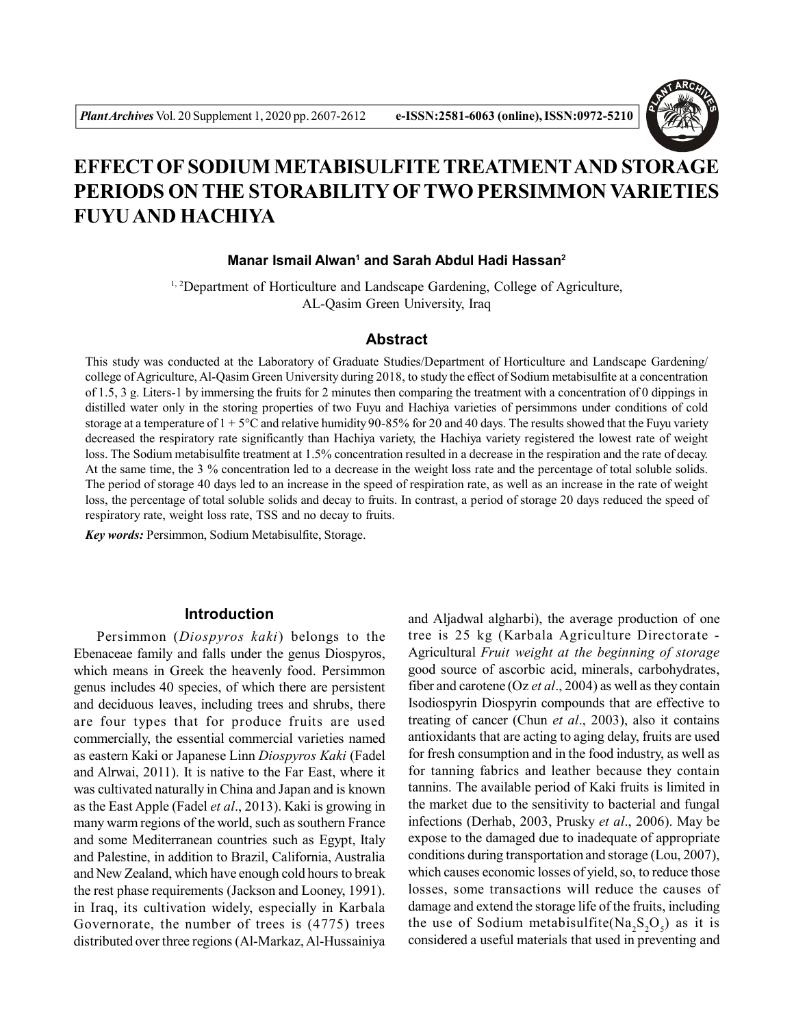

# **EFFECT OF SODIUM METABISULFITE TREATMENTAND STORAGE PERIODS ON THE STORABILITY OFTWO PERSIMMON VARIETIES FUYU AND HACHIYA**

#### **Manar Ismail Alwan<sup>1</sup> and Sarah Abdul Hadi Hassan<sup>2</sup>**

<sup>1, 2</sup>Department of Horticulture and Landscape Gardening, College of Agriculture, AL-Qasim Green University, Iraq

#### **Abstract**

This study was conducted at the Laboratory of Graduate Studies/Department of Horticulture and Landscape Gardening/ college of Agriculture, Al-Qasim Green University during 2018, to study the effect of Sodium metabisulfite at a concentration of 1.5, 3 g. Liters-1 by immersing the fruits for 2 minutes then comparing the treatment with a concentration of 0 dippings in distilled water only in the storing properties of two Fuyu and Hachiya varieties of persimmons under conditions of cold storage at a temperature of  $1 + 5^{\circ}$ C and relative humidity 90-85% for 20 and 40 days. The results showed that the Fuyu variety decreased the respiratory rate significantly than Hachiya variety, the Hachiya variety registered the lowest rate of weight loss. The Sodium metabisulfite treatment at 1.5% concentration resulted in a decrease in the respiration and the rate of decay. At the same time, the 3 % concentration led to a decrease in the weight loss rate and the percentage of total soluble solids. The period of storage 40 days led to an increase in the speed of respiration rate, as well as an increase in the rate of weight loss, the percentage of total soluble solids and decay to fruits. In contrast, a period of storage 20 days reduced the speed of respiratory rate, weight loss rate, TSS and no decay to fruits.

*Key words:* Persimmon, Sodium Metabisulfite, Storage.

# **Introduction**

Persimmon (*Diospyros kaki*) belongs to the Ebenaceae family and falls under the genus Diospyros, which means in Greek the heavenly food. Persimmon genus includes 40 species, of which there are persistent and deciduous leaves, including trees and shrubs, there are four types that for produce fruits are used commercially, the essential commercial varieties named as eastern Kaki or Japanese Linn *Diospyros Kaki* (Fadel and Alrwai, 2011). It is native to the Far East, where it was cultivated naturally in China and Japan and is known as the East Apple (Fadel *et al*., 2013). Kaki is growing in many warm regions of the world, such as southern France and some Mediterranean countries such as Egypt, Italy and Palestine, in addition to Brazil, California, Australia and New Zealand, which have enough cold hours to break the rest phase requirements (Jackson and Looney, 1991). in Iraq, its cultivation widely, especially in Karbala Governorate, the number of trees is (4775) trees distributed over three regions (Al-Markaz, Al-Hussainiya

and Aljadwal algharbi), the average production of one tree is 25 kg (Karbala Agriculture Directorate - Agricultural *Fruit weight at the beginning of storage* good source of ascorbic acid, minerals, carbohydrates, fiber and carotene (Oz *et al*., 2004) as well as they contain Isodiospyrin Diospyrin compounds that are effective to treating of cancer (Chun *et al*., 2003), also it contains antioxidants that are acting to aging delay, fruits are used for fresh consumption and in the food industry, as well as for tanning fabrics and leather because they contain tannins. The available period of Kaki fruits is limited in the market due to the sensitivity to bacterial and fungal infections (Derhab, 2003, Prusky *et al*., 2006). May be expose to the damaged due to inadequate of appropriate conditions during transportation and storage (Lou, 2007), which causes economic losses of yield, so, to reduce those losses, some transactions will reduce the causes of damage and extend the storage life of the fruits, including the use of Sodium metabisulfite( $\text{Na}_2\text{S}_2\text{O}_5$ ) as it is considered a useful materials that used in preventing and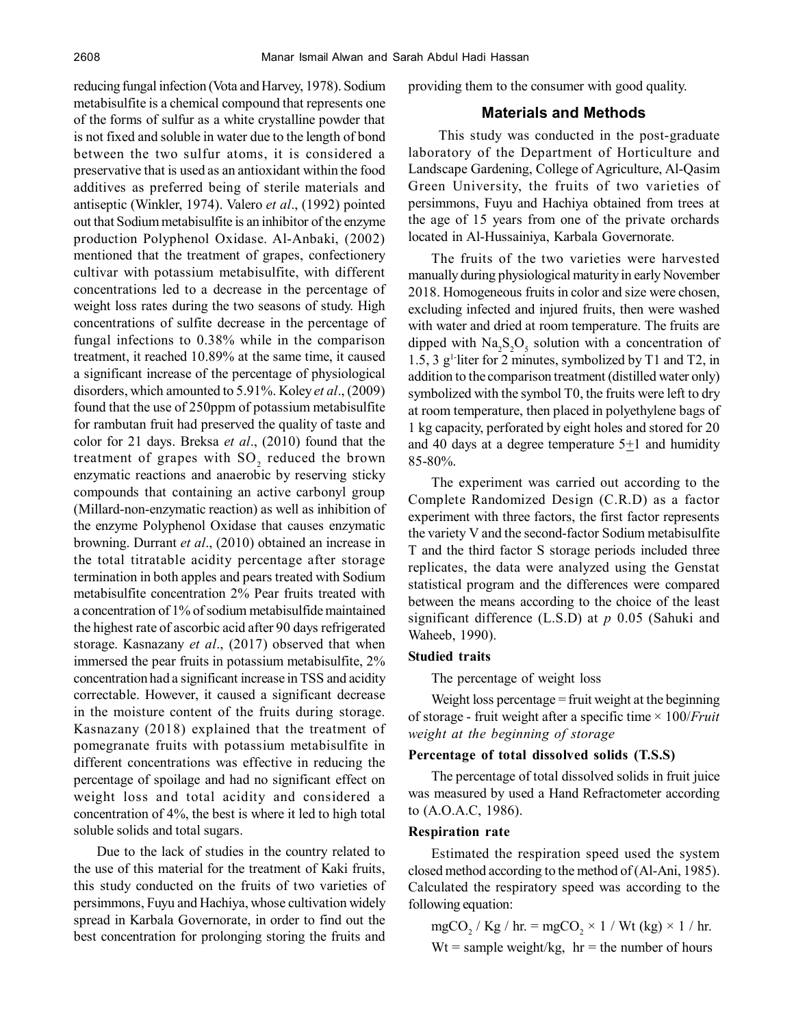reducing fungal infection (Vota and Harvey, 1978). Sodium metabisulfite is a chemical compound that represents one of the forms of sulfur as a white crystalline powder that is not fixed and soluble in water due to the length of bond between the two sulfur atoms, it is considered a preservative that is used as an antioxidant within the food additives as preferred being of sterile materials and antiseptic (Winkler, 1974). Valero *et al*., (1992) pointed out that Sodium metabisulfite is an inhibitor of the enzyme production Polyphenol Oxidase. Al-Anbaki, (2002) mentioned that the treatment of grapes, confectionery cultivar with potassium metabisulfite, with different concentrations led to a decrease in the percentage of weight loss rates during the two seasons of study. High concentrations of sulfite decrease in the percentage of fungal infections to 0.38% while in the comparison treatment, it reached 10.89% at the same time, it caused a significant increase of the percentage of physiological disorders, which amounted to 5.91%. Koley *et al*., (2009) found that the use of 250ppm of potassium metabisulfite for rambutan fruit had preserved the quality of taste and color for 21 days. Breksa *et al*., (2010) found that the treatment of grapes with  ${SO_2}$  reduced the brown enzymatic reactions and anaerobic by reserving sticky compounds that containing an active carbonyl group (Millard-non-enzymatic reaction) as well as inhibition of the enzyme Polyphenol Oxidase that causes enzymatic browning. Durrant *et al*., (2010) obtained an increase in the total titratable acidity percentage after storage termination in both apples and pears treated with Sodium metabisulfite concentration 2% Pear fruits treated with a concentration of 1% of sodium metabisulfide maintained the highest rate of ascorbic acid after 90 days refrigerated storage. Kasnazany *et al*., (2017) observed that when immersed the pear fruits in potassium metabisulfite, 2% concentration had a significant increase in TSS and acidity correctable. However, it caused a significant decrease in the moisture content of the fruits during storage. Kasnazany (2018) explained that the treatment of pomegranate fruits with potassium metabisulfite in different concentrations was effective in reducing the percentage of spoilage and had no significant effect on weight loss and total acidity and considered a concentration of 4%, the best is where it led to high total soluble solids and total sugars.

Due to the lack of studies in the country related to the use of this material for the treatment of Kaki fruits, this study conducted on the fruits of two varieties of persimmons, Fuyu and Hachiya, whose cultivation widely spread in Karbala Governorate, in order to find out the best concentration for prolonging storing the fruits and providing them to the consumer with good quality.

# **Materials and Methods**

 This study was conducted in the post-graduate laboratory of the Department of Horticulture and Landscape Gardening, College of Agriculture, Al-Qasim Green University, the fruits of two varieties of persimmons, Fuyu and Hachiya obtained from trees at the age of 15 years from one of the private orchards located in Al-Hussainiya, Karbala Governorate.

The fruits of the two varieties were harvested manually during physiological maturity in early November 2018. Homogeneous fruits in color and size were chosen, excluding infected and injured fruits, then were washed with water and dried at room temperature. The fruits are dipped with  $\text{Na}_2\text{S}_2\text{O}_5$  solution with a concentration of 1.5, 3 g1-liter for 2 minutes, symbolized by T1 and T2, in addition to the comparison treatment (distilled water only) symbolized with the symbol T0, the fruits were left to dry at room temperature, then placed in polyethylene bags of 1 kg capacity, perforated by eight holes and stored for 20 and 40 days at a degree temperature  $5\pm 1$  and humidity 85-80%.

The experiment was carried out according to the Complete Randomized Design (C.R.D) as a factor experiment with three factors, the first factor represents the variety V and the second-factor Sodium metabisulfite T and the third factor S storage periods included three replicates, the data were analyzed using the Genstat statistical program and the differences were compared between the means according to the choice of the least significant difference (L.S.D) at *p* 0.05 (Sahuki and Waheeb, 1990).

#### **Studied traits**

The percentage of weight loss

Weight loss percentage = fruit weight at the beginning of storage - fruit weight after a specific time × 100/*Fruit weight at the beginning of storage*

# **Percentage of total dissolved solids (T.S.S)**

The percentage of total dissolved solids in fruit juice was measured by used a Hand Refractometer according to (A.O.A.C, 1986).

#### **Respiration rate**

Estimated the respiration speed used the system closed method according to the method of (Al-Ani, 1985). Calculated the respiratory speed was according to the following equation:

mgCO<sup>2</sup> / Kg / hr. = mgCO<sup>2</sup> × 1 / Wt (kg) × 1 / hr. Wt = sample weight/kg, hr = the number of hours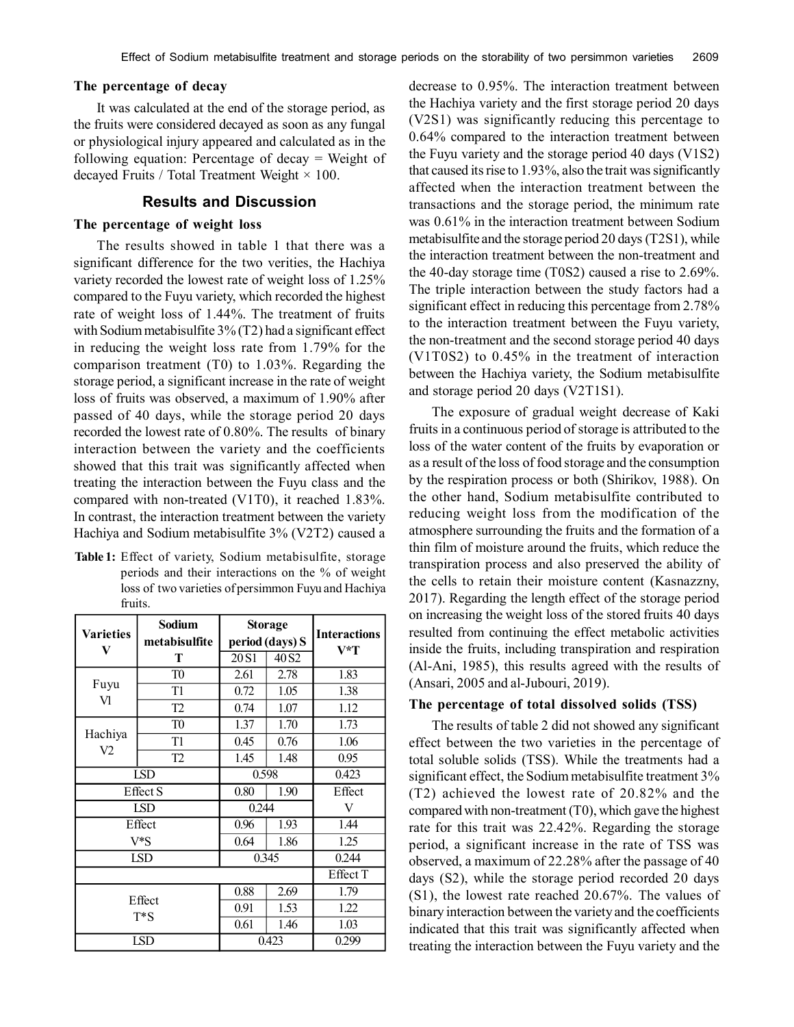#### **The percentage of decay**

It was calculated at the end of the storage period, as the fruits were considered decayed as soon as any fungal or physiological injury appeared and calculated as in the following equation: Percentage of decay = Weight of decayed Fruits / Total Treatment Weight  $\times$  100.

### **Results and Discussion**

#### **The percentage of weight loss**

The results showed in table 1 that there was a significant difference for the two verities, the Hachiya variety recorded the lowest rate of weight loss of 1.25% compared to the Fuyu variety, which recorded the highest rate of weight loss of 1.44%. The treatment of fruits with Sodium metabisulfite 3% (T2) had a significant effect in reducing the weight loss rate from 1.79% for the comparison treatment (T0) to 1.03%. Regarding the storage period, a significant increase in the rate of weight loss of fruits was observed, a maximum of 1.90% after passed of 40 days, while the storage period 20 days recorded the lowest rate of 0.80%. The results of binary interaction between the variety and the coefficients showed that this trait was significantly affected when treating the interaction between the Fuyu class and the compared with non-treated (V1T0), it reached 1.83%. In contrast, the interaction treatment between the variety Hachiya and Sodium metabisulfite 3% (V2T2) caused a

**Table 1:** Effect of variety, Sodium metabisulfite, storage periods and their interactions on the % of weight loss of two varieties of persimmon Fuyu and Hachiya fruits.

| <b>Varieties</b><br>V | <b>Sodium</b><br>metabisulfite | <b>Storage</b><br>period (days) S |                   | <b>Interactions</b> |
|-----------------------|--------------------------------|-----------------------------------|-------------------|---------------------|
|                       | Т                              | 20 <sub>S1</sub>                  | 40 S <sub>2</sub> | V*T                 |
|                       | T <sub>0</sub>                 | 2.61                              | 2.78              | 1.83                |
| Fuyu                  | T1                             | 0.72                              | 1.05              | 1.38                |
| Vl                    | T <sub>2</sub>                 | 0.74                              | 1.07              | 1.12                |
|                       | T <sub>0</sub>                 | 1.37                              | 1.70              | 1.73                |
| Hachiya               | T1                             | 0.45                              | 0.76              | 1.06                |
| V2                    | T <sub>2</sub>                 | 1.45                              | 1.48              | 0.95                |
| LSD                   |                                | 0.598                             |                   | 0.423               |
| <b>Effect S</b>       |                                | 0.80                              | 1.90              | Effect              |
| <b>LSD</b>            |                                | 0.244                             |                   | V                   |
| Effect                |                                | 0.96                              | 1.93              | 1.44                |
| V*S                   |                                | 0.64                              | 1.86              | 1.25                |
| <b>LSD</b>            |                                | 0.345                             |                   | 0.244               |
|                       |                                |                                   |                   | Effect T            |
| Effect<br>$T^*S$      |                                | 0.88                              | 2.69              | 1.79                |
|                       |                                | 0.91                              | 1.53              | 1.22                |
|                       |                                | 0.61                              | 1.46              | 1.03                |
|                       | <b>LSD</b>                     |                                   | 0.423             | 0.299               |

decrease to 0.95%. The interaction treatment between the Hachiya variety and the first storage period 20 days (V2S1) was significantly reducing this percentage to 0.64% compared to the interaction treatment between the Fuyu variety and the storage period 40 days (V1S2) that caused its rise to 1.93%, also the trait was significantly affected when the interaction treatment between the transactions and the storage period, the minimum rate was 0.61% in the interaction treatment between Sodium metabisulfite and the storage period 20 days (T2S1), while the interaction treatment between the non-treatment and the 40-day storage time (T0S2) caused a rise to 2.69%. The triple interaction between the study factors had a significant effect in reducing this percentage from 2.78% to the interaction treatment between the Fuyu variety, the non-treatment and the second storage period 40 days (V1T0S2) to 0.45% in the treatment of interaction between the Hachiya variety, the Sodium metabisulfite and storage period 20 days (V2T1S1).

The exposure of gradual weight decrease of Kaki fruits in a continuous period of storage is attributed to the loss of the water content of the fruits by evaporation or as a result of the loss of food storage and the consumption by the respiration process or both (Shirikov, 1988). On the other hand, Sodium metabisulfite contributed to reducing weight loss from the modification of the atmosphere surrounding the fruits and the formation of a thin film of moisture around the fruits, which reduce the transpiration process and also preserved the ability of the cells to retain their moisture content (Kasnazzny, 2017). Regarding the length effect of the storage period on increasing the weight loss of the stored fruits 40 days resulted from continuing the effect metabolic activities inside the fruits, including transpiration and respiration (Al-Ani, 1985), this results agreed with the results of (Ansari, 2005 and al-Jubouri, 2019).

#### **The percentage of total dissolved solids (TSS)**

The results of table 2 did not showed any significant effect between the two varieties in the percentage of total soluble solids (TSS). While the treatments had a significant effect, the Sodium metabisulfite treatment 3% (T2) achieved the lowest rate of 20.82% and the compared with non-treatment (T0), which gave the highest rate for this trait was 22.42%. Regarding the storage period, a significant increase in the rate of TSS was observed, a maximum of 22.28% after the passage of 40 days (S2), while the storage period recorded 20 days (S1), the lowest rate reached 20.67%. The values of binary interaction between the variety and the coefficients indicated that this trait was significantly affected when treating the interaction between the Fuyu variety and the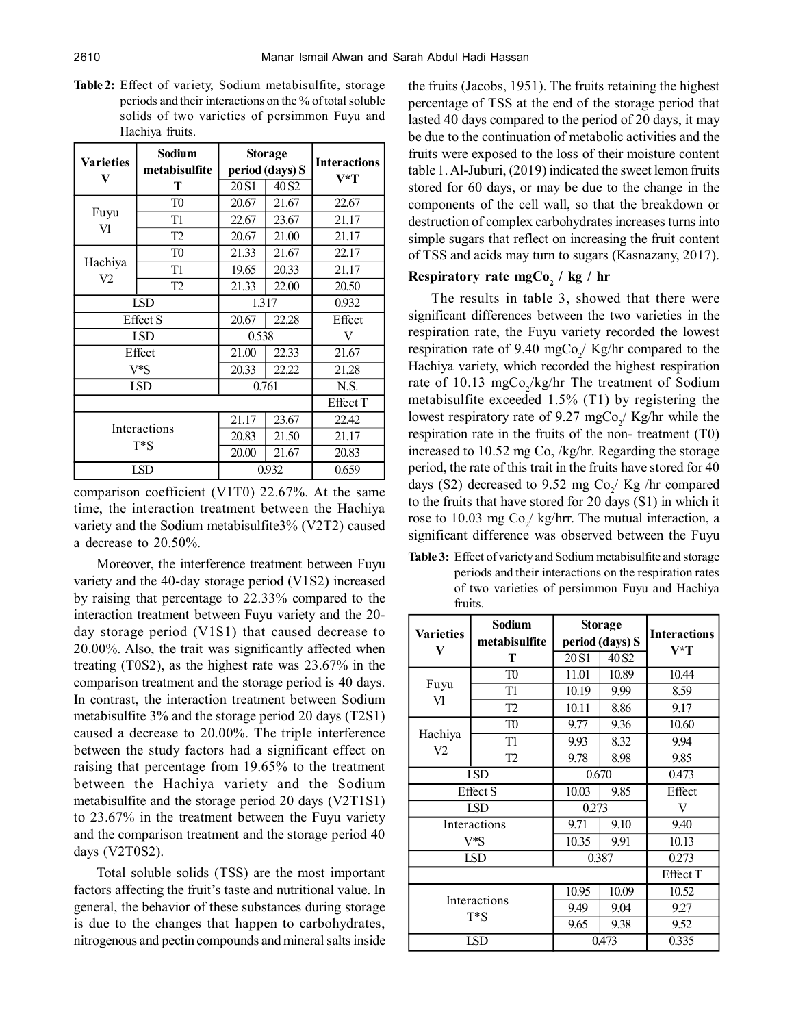**Table 2:** Effect of variety, Sodium metabisulfite, storage periods and their interactions on the % of total soluble solids of two varieties of persimmon Fuyu and Hachiya fruits.

| Varieties       | Sodium<br>metabisulfite | <b>Storage</b><br>period (days) S |                   | <b>Interactions</b> |
|-----------------|-------------------------|-----------------------------------|-------------------|---------------------|
| V               | Т                       | 20 <sub>S1</sub>                  | 40 S <sub>2</sub> | V*T                 |
| Fuyu<br>Vl      | T <sub>0</sub>          | 20.67                             | 21.67             | 22.67               |
|                 | T1                      | 22.67                             | 23.67             | 21.17               |
|                 | T <sub>2</sub>          | 20.67                             | 21.00             | 21.17               |
| Hachiya         | T <sub>0</sub>          | 21.33                             | 21.67             | 22.17               |
|                 | T1                      | 19.65                             | 20.33             | 21.17               |
| V2              | T <sub>2</sub>          | 21.33                             | 22.00             | 20.50               |
| LSD             |                         | 1.317                             |                   | 0.932               |
| <b>Effect S</b> |                         | 20.67                             | 22.28             | Effect              |
|                 | <b>LSD</b>              | 0.538                             |                   | V                   |
|                 | Effect                  | 21.00<br>22.33                    |                   | 21.67               |
|                 | V*S<br>20.33<br>22.22   |                                   | 21.28             |                     |
| <b>LSD</b>      |                         | 0.761                             |                   | N.S.                |
|                 |                         |                                   |                   | Effect T            |
|                 |                         | 21.17                             | 23.67             | 22.42               |
|                 | Interactions<br>T*S     | 20.83                             | 21.50             | 21.17               |
|                 |                         | 20.00                             | 21.67             | 20.83               |
|                 | <b>LSD</b>              | 0.932                             |                   | 0.659               |

comparison coefficient (V1T0) 22.67%. At the same time, the interaction treatment between the Hachiya variety and the Sodium metabisulfite3% (V2T2) caused a decrease to 20.50%.

Moreover, the interference treatment between Fuyu variety and the 40-day storage period (V1S2) increased by raising that percentage to 22.33% compared to the interaction treatment between Fuyu variety and the 20 day storage period (V1S1) that caused decrease to 20.00%. Also, the trait was significantly affected when treating (T0S2), as the highest rate was 23.67% in the comparison treatment and the storage period is 40 days. In contrast, the interaction treatment between Sodium metabisulfite 3% and the storage period 20 days (T2S1) caused a decrease to 20.00%. The triple interference between the study factors had a significant effect on raising that percentage from 19.65% to the treatment between the Hachiya variety and the Sodium metabisulfite and the storage period 20 days (V2T1S1) to 23.67% in the treatment between the Fuyu variety and the comparison treatment and the storage period 40 days (V2T0S2).

Total soluble solids (TSS) are the most important factors affecting the fruit's taste and nutritional value. In general, the behavior of these substances during storage is due to the changes that happen to carbohydrates, nitrogenous and pectin compounds and mineral salts inside the fruits (Jacobs, 1951). The fruits retaining the highest percentage of TSS at the end of the storage period that lasted 40 days compared to the period of 20 days, it may be due to the continuation of metabolic activities and the fruits were exposed to the loss of their moisture content table 1. Al-Juburi, (2019) indicated the sweet lemon fruits stored for 60 days, or may be due to the change in the components of the cell wall, so that the breakdown or destruction of complex carbohydrates increases turns into simple sugars that reflect on increasing the fruit content of TSS and acids may turn to sugars (Kasnazany, 2017).

# **Respiratory rate mgCo<sup>2</sup> / kg / hr**

The results in table 3, showed that there were significant differences between the two varieties in the respiration rate, the Fuyu variety recorded the lowest respiration rate of 9.40 mgCo<sub>2</sub>/ Kg/hr compared to the Hachiya variety, which recorded the highest respiration rate of 10.13 mgCo<sub>2</sub>/kg/hr The treatment of Sodium metabisulfite exceeded 1.5% (T1) by registering the lowest respiratory rate of 9.27 mgCo<sub>2</sub>/ Kg/hr while the respiration rate in the fruits of the non- treatment (T0) increased to 10.52 mg  $Co_2$ /kg/hr. Regarding the storage period, the rate of this trait in the fruits have stored for 40 days (S2) decreased to 9.52 mg  $Co_2 /$  Kg /hr compared to the fruits that have stored for 20 days (S1) in which it rose to 10.03 mg  $Co_2 / \text{ kg/hr}$ . The mutual interaction, a significant difference was observed between the Fuyu

**Table 3:** Effect of variety and Sodium metabisulfite and storage periods and their interactions on the respiration rates of two varieties of persimmon Fuyu and Hachiya fruits.

| <b>Varieties</b><br>V        | Sodium<br>metabisulfite | <b>Storage</b><br>period (days) S |                   | <b>Interactions</b> |
|------------------------------|-------------------------|-----------------------------------|-------------------|---------------------|
|                              | т                       | 20 <sub>S1</sub>                  | 40 S <sub>2</sub> | V*T                 |
| Fuyu<br>VI                   | T <sub>0</sub>          | 11.01                             | 10.89             | 10.44               |
|                              | T1                      | 10.19                             | 9.99              | 8.59                |
|                              | T <sub>2</sub>          | 10.11                             | 8.86              | 9.17                |
| Hachiya<br>V <sub>2</sub>    | T0                      | 9.77                              | 9.36              | 10.60               |
|                              | T1                      | 9.93                              | 8.32              | 9.94                |
|                              | T <sub>2</sub>          | 9.78                              | 8.98              | 9.85                |
| <b>LSD</b>                   |                         | 0.670                             |                   | 0.473               |
| <b>Effect S</b>              |                         | 10.03                             | 9.85              | Effect              |
| <b>LSD</b>                   |                         | 0.273                             |                   | V                   |
| 9.71<br>Interactions<br>9.10 |                         |                                   | 9.40              |                     |
| V*S                          |                         | 10.35                             | 9.91              | 10.13               |
| <b>LSD</b>                   |                         | 0.387                             |                   | 0.273               |
|                              |                         |                                   |                   | Effect T            |
| Interactions                 |                         | 10.95                             | 10.09             | 10.52               |
|                              |                         | 9.49                              | 9.04              | 9.27                |
|                              | $T^*S$                  | 9.65                              | 9.38              | 9.52                |
| <b>LSD</b>                   |                         | 0.473                             |                   | 0.335               |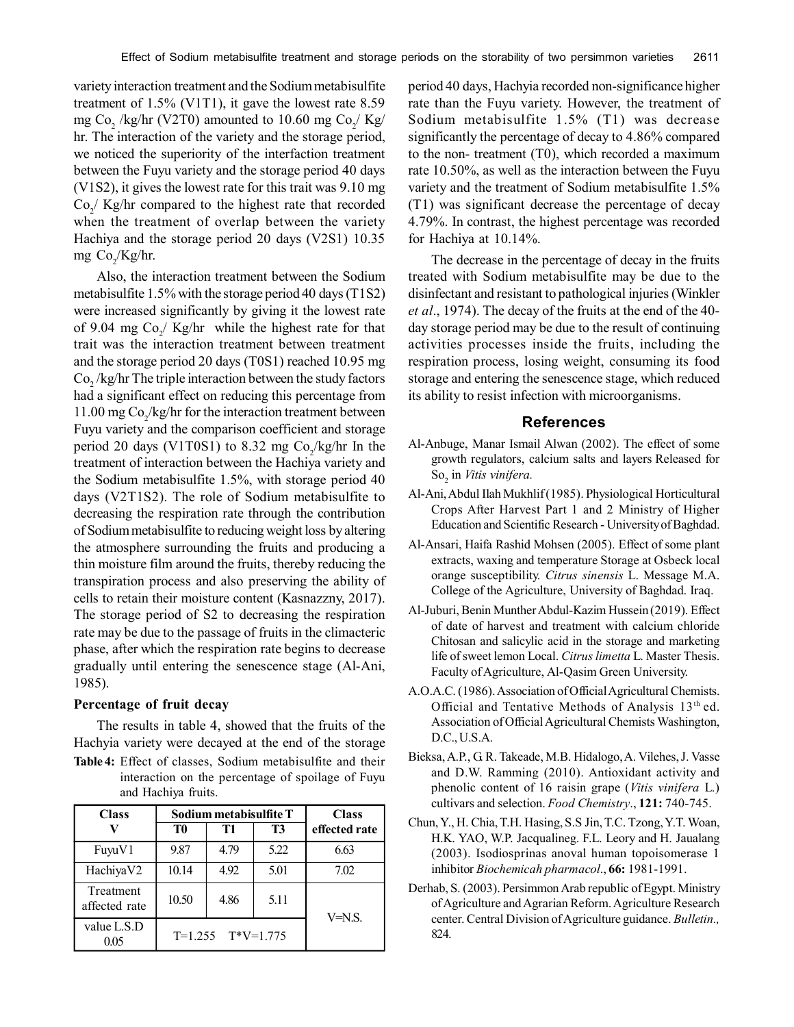variety interaction treatment and the Sodium metabisulfite treatment of 1.5% (V1T1), it gave the lowest rate 8.59 mg Co<sub>2</sub> /kg/hr (V2T0) amounted to 10.60 mg Co<sub>2</sub>/ Kg/ hr. The interaction of the variety and the storage period, we noticed the superiority of the interfaction treatment between the Fuyu variety and the storage period 40 days (V1S2), it gives the lowest rate for this trait was 9.10 mg  $Co_2$ / Kg/hr compared to the highest rate that recorded when the treatment of overlap between the variety Hachiya and the storage period 20 days (V2S1) 10.35 mg  $Co_2/Kg/hr$ .

Also, the interaction treatment between the Sodium metabisulfite 1.5% with the storage period 40 days (T1S2) were increased significantly by giving it the lowest rate of 9.04 mg  $Co_2 / Kg/hr$  while the highest rate for that trait was the interaction treatment between treatment and the storage period 20 days (T0S1) reached 10.95 mg  $Co_2$ /kg/hr The triple interaction between the study factors had a significant effect on reducing this percentage from 11.00 mg  $Co_2$ /kg/hr for the interaction treatment between Fuyu variety and the comparison coefficient and storage period 20 days (V1T0S1) to 8.32 mg  $Co_2/kg/hr$  In the treatment of interaction between the Hachiya variety and the Sodium metabisulfite 1.5%, with storage period 40 days (V2T1S2). The role of Sodium metabisulfite to decreasing the respiration rate through the contribution of Sodium metabisulfite to reducing weight loss by altering the atmosphere surrounding the fruits and producing a thin moisture film around the fruits, thereby reducing the transpiration process and also preserving the ability of cells to retain their moisture content (Kasnazzny, 2017). The storage period of S2 to decreasing the respiration rate may be due to the passage of fruits in the climacteric phase, after which the respiration rate begins to decrease gradually until entering the senescence stage (Al-Ani, 1985).

#### **Percentage of fruit decay**

The results in table 4, showed that the fruits of the Hachyia variety were decayed at the end of the storage **Table 4:** Effect of classes, Sodium metabisulfite and their interaction on the percentage of spoilage of Fuyu

and Hachiya fruits.

| <b>Class</b>               | Sodium metabisulfite T |      |      | <b>Class</b>  |
|----------------------------|------------------------|------|------|---------------|
|                            | T0                     | T1   | T3   | effected rate |
| FuyuV1                     | 9.87                   | 4.79 | 5.22 | 6.63          |
| HachiyaV2                  | 10.14                  | 4.92 | 5.01 | 7.02          |
| Treatment<br>affected rate | 10.50                  | 4.86 | 5.11 | $V=N.S.$      |
| value L.S.D<br>0.05        | $T=1.255$ $T*V=1.775$  |      |      |               |

period 40 days, Hachyia recorded non-significance higher rate than the Fuyu variety. However, the treatment of Sodium metabisulfite 1.5% (T1) was decrease significantly the percentage of decay to 4.86% compared to the non- treatment (T0), which recorded a maximum rate 10.50%, as well as the interaction between the Fuyu variety and the treatment of Sodium metabisulfite 1.5% (T1) was significant decrease the percentage of decay 4.79%. In contrast, the highest percentage was recorded for Hachiya at 10.14%.

The decrease in the percentage of decay in the fruits treated with Sodium metabisulfite may be due to the disinfectant and resistant to pathological injuries (Winkler *et al*., 1974). The decay of the fruits at the end of the 40 day storage period may be due to the result of continuing activities processes inside the fruits, including the respiration process, losing weight, consuming its food storage and entering the senescence stage, which reduced its ability to resist infection with microorganisms.

# **References**

- Al-Anbuge, Manar Ismail Alwan (2002). The effect of some growth regulators, calcium salts and layers Released for So<sub>2</sub> in *Vitis vinifera*.
- Al-Ani, Abdul Ilah Mukhlif (1985). Physiological Horticultural Crops After Harvest Part 1 and 2 Ministry of Higher Education and Scientific Research - University of Baghdad.
- Al-Ansari, Haifa Rashid Mohsen (2005). Effect of some plant extracts, waxing and temperature Storage at Osbeck local orange susceptibility. *Citrus sinensis* L. Message M.A. College of the Agriculture, University of Baghdad. Iraq.
- Al-Juburi, Benin Munther Abdul-Kazim Hussein (2019). Effect of date of harvest and treatment with calcium chloride Chitosan and salicylic acid in the storage and marketing life of sweet lemon Local. *Citrus limetta* L. Master Thesis. Faculty of Agriculture, Al-Qasim Green University.
- A.O.A.C. (1986). Association of Official Agricultural Chemists. Official and Tentative Methods of Analysis 13<sup>th</sup> ed. Association of Official Agricultural Chemists Washington, D.C., U.S.A.
- Bieksa, A.P., G. R. Takeade, M.B. Hidalogo, A. Vilehes, J. Vasse and D.W. Ramming (2010). Antioxidant activity and phenolic content of 16 raisin grape (*Vitis vinifera* L.) cultivars and selection. *Food Chemistry*., **121:** 740-745.
- Chun, Y., H. Chia, T.H. Hasing, S.S Jin, T.C. Tzong, Y.T. Woan, H.K. YAO, W.P. Jacqualineg. F.L. Leory and H. Jaualang (2003). Isodiosprinas anoval human topoisomerase 1 inhibitor *Biochemicah pharmacol*., **66:** 1981-1991.
- Derhab, S. (2003). Persimmon Arab republic of Egypt. Ministry of Agriculture and Agrarian Reform. Agriculture Research center. Central Division of Agriculture guidance. *Bulletin.,* 824.